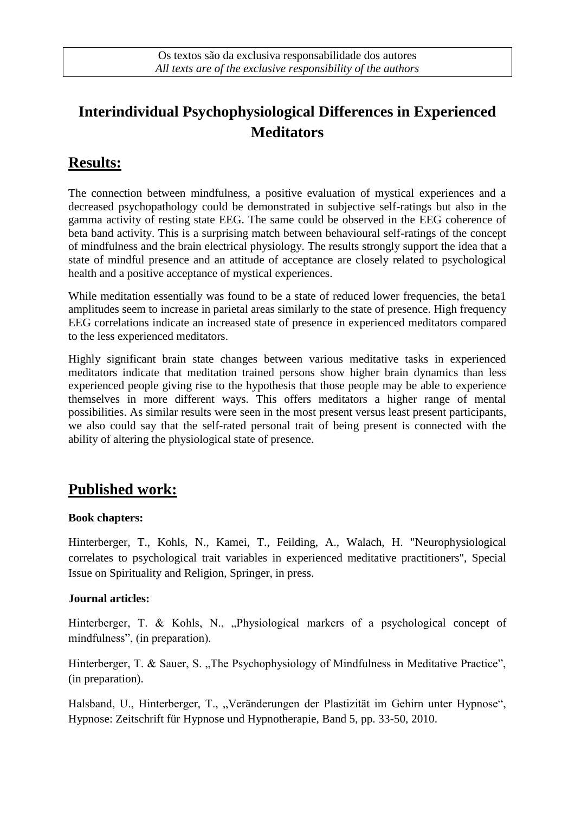# **Interindividual Psychophysiological Differences in Experienced Meditators**

## **Results:**

The connection between mindfulness, a positive evaluation of mystical experiences and a decreased psychopathology could be demonstrated in subjective self-ratings but also in the gamma activity of resting state EEG. The same could be observed in the EEG coherence of beta band activity. This is a surprising match between behavioural self-ratings of the concept of mindfulness and the brain electrical physiology. The results strongly support the idea that a state of mindful presence and an attitude of acceptance are closely related to psychological health and a positive acceptance of mystical experiences.

While meditation essentially was found to be a state of reduced lower frequencies, the beta1 amplitudes seem to increase in parietal areas similarly to the state of presence. High frequency EEG correlations indicate an increased state of presence in experienced meditators compared to the less experienced meditators.

Highly significant brain state changes between various meditative tasks in experienced meditators indicate that meditation trained persons show higher brain dynamics than less experienced people giving rise to the hypothesis that those people may be able to experience themselves in more different ways. This offers meditators a higher range of mental possibilities. As similar results were seen in the most present versus least present participants, we also could say that the self-rated personal trait of being present is connected with the ability of altering the physiological state of presence.

### **Published work:**

#### **Book chapters:**

Hinterberger, T., Kohls, N., Kamei, T., Feilding, A., Walach, H. "Neurophysiological correlates to psychological trait variables in experienced meditative practitioners", Special Issue on Spirituality and Religion, Springer, in press.

#### **Journal articles:**

Hinterberger, T. & Kohls, N., "Physiological markers of a psychological concept of mindfulness", (in preparation).

Hinterberger, T. & Sauer, S., The Psychophysiology of Mindfulness in Meditative Practice", (in preparation).

Halsband, U., Hinterberger, T., "Veränderungen der Plastizität im Gehirn unter Hypnose", Hypnose: Zeitschrift für Hypnose und Hypnotherapie, Band 5, pp. 33-50, 2010.